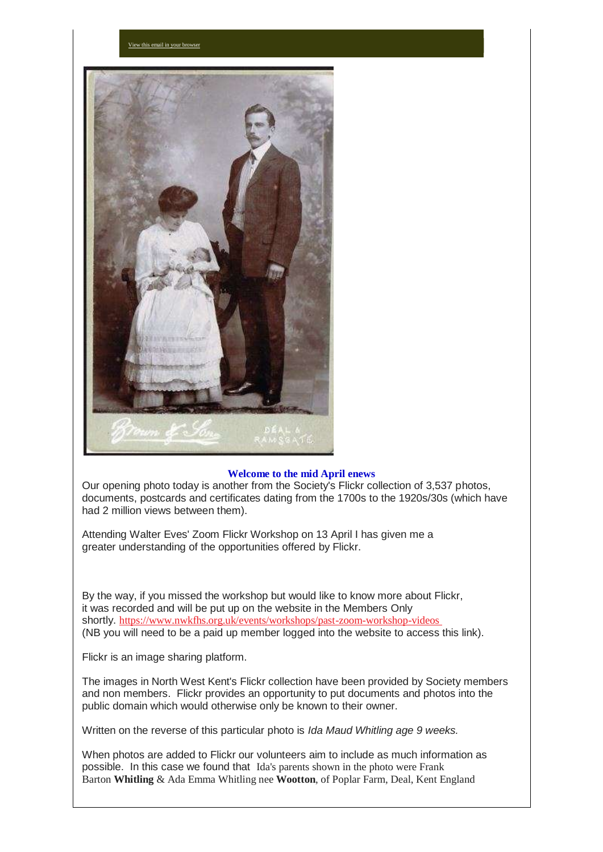

[View this email in your browser](https://mailchi.mp/0717ddb13ff9/talks-workshops-and-genealogy-news?e=a709ee61ff)

#### **Welcome to the mid April enews**

Our opening photo today is another from the Society's Flickr collection of 3,537 photos, documents, postcards and certificates dating from the 1700s to the 1920s/30s (which have had 2 million views between them).

Attending Walter Eves' Zoom Flickr Workshop on 13 April I has given me a greater understanding of the opportunities offered by Flickr.

By the way, if you missed the workshop but would like to know more about Flickr, it was recorded and will be put up on the website in the Members Only shortly. [https://www.nwkfhs.org.uk/events/workshops/past-zoom-workshop-videos](https://nwkfhs.us4.list-manage.com/track/click?u=cde10858510442d6e71f0f3a6&id=95218085f2&e=a709ee61ff) (NB you will need to be a paid up member logged into the website to access this link).

Flickr is an image sharing platform.

The images in North West Kent's Flickr collection have been provided by Society members and non members. Flickr provides an opportunity to put documents and photos into the public domain which would otherwise only be known to their owner.

Written on the reverse of this particular photo is *Ida Maud Whitling age 9 weeks.*

When photos are added to Flickr our volunteers aim to include as much information as possible. In this case we found that Ida's parents shown in the photo were Frank Barton **Whitling** & Ada Emma Whitling nee **Wootton**, of Poplar Farm, Deal, Kent England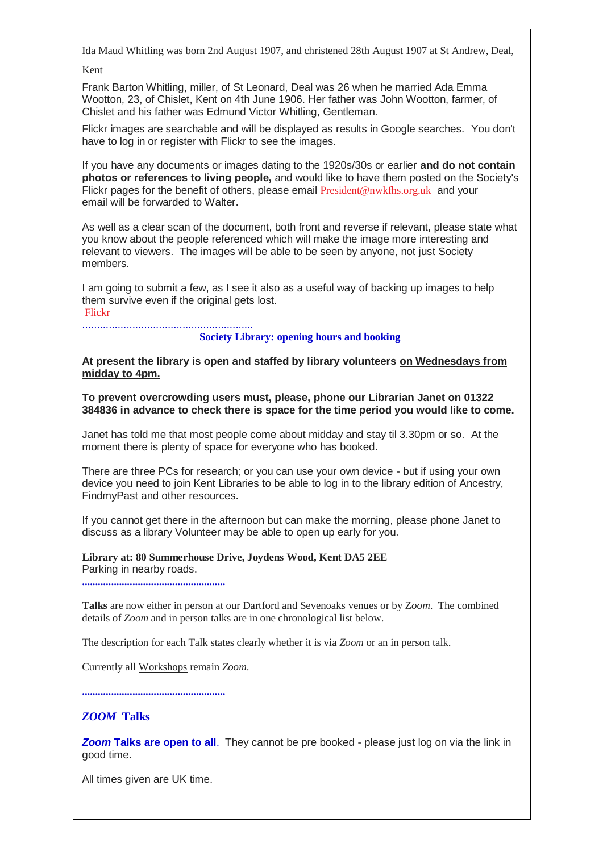Ida Maud Whitling was born 2nd August 1907, and christened 28th August 1907 at St Andrew, Deal,

Kent

Frank Barton Whitling, miller, of St Leonard, Deal was 26 when he married Ada Emma Wootton, 23, of Chislet, Kent on 4th June 1906. Her father was John Wootton, farmer, of Chislet and his father was Edmund Victor Whitling, Gentleman.

Flickr images are searchable and will be displayed as results in Google searches. You don't have to log in or register with Flickr to see the images.

If you have any documents or images dating to the 1920s/30s or earlier **and do not contain photos or references to living people,** and would like to have them posted on the Society's Flickr pages for the benefit of others, please email [President@nwkfhs.org.uk](mailto:President@nwkfhs.org.uk?subject=NWKFHS%20Flickr%20pages) and your email will be forwarded to Walter.

As well as a clear scan of the document, both front and reverse if relevant, please state what you know about the people referenced which will make the image more interesting and relevant to viewers. The images will be able to be seen by anyone, not just Society members.

I am going to submit a few, as I see it also as a useful way of backing up images to help them survive even if the original gets lost.

[Flickr](https://nwkfhs.us4.list-manage.com/track/click?u=cde10858510442d6e71f0f3a6&id=abf3a0494c&e=a709ee61ff)

.......................................................... **Society Library: opening hours and booking**

**At present the library is open and staffed by library volunteers on Wednesdays from midday to 4pm.**

**To prevent overcrowding users must, please, phone our Librarian Janet on 01322 384836 in advance to check there is space for the time period you would like to come.**

Janet has told me that most people come about midday and stay til 3.30pm or so. At the moment there is plenty of space for everyone who has booked.

There are three PCs for research; or you can use your own device - but if using your own device you need to join Kent Libraries to be able to log in to the library edition of Ancestry, FindmyPast and other resources.

If you cannot get there in the afternoon but can make the morning, please phone Janet to discuss as a library Volunteer may be able to open up early for you.

**Library at: 80 Summerhouse Drive, Joydens Wood, Kent DA5 2EE** Parking in nearby roads.

**......................................................**

**Talks** are now either in person at our Dartford and Sevenoaks venues or by Z*oom*. The combined details of *Zoom* and in person talks are in one chronological list below.

The description for each Talk states clearly whether it is via *Zoom* or an in person talk.

Currently all Workshops remain *Zoom*.

**......................................................**

# *ZOOM* **Talks**

*Zoom* **Talks are open to all**. They cannot be pre booked - please just log on via the link in good time.

All times given are UK time.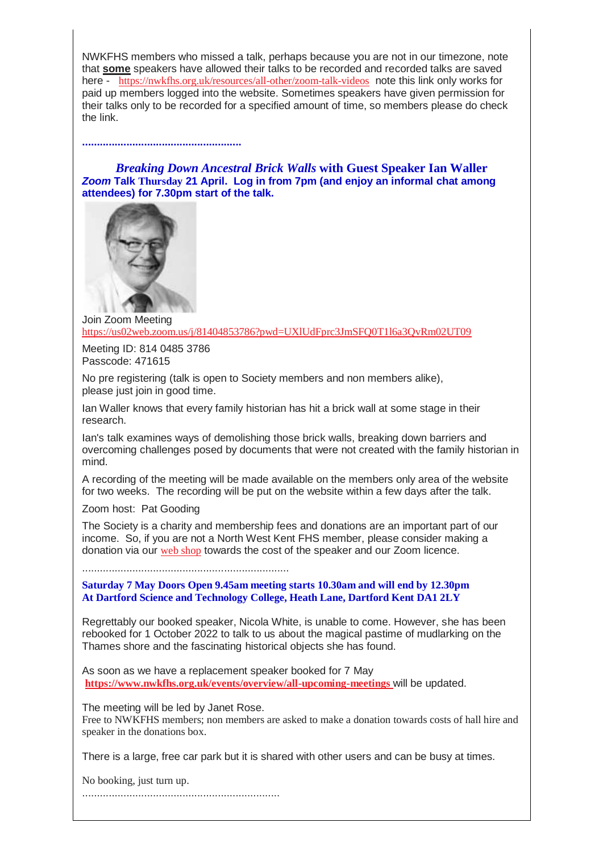NWKFHS members who missed a talk, perhaps because you are not in our timezone, note that **some** speakers have allowed their talks to be recorded and recorded talks are saved here - [https://nwkfhs.org.uk/resources/all-other/zoom-talk-videos](https://nwkfhs.us4.list-manage.com/track/click?u=cde10858510442d6e71f0f3a6&id=4bacce9682&e=a709ee61ff) note this link only works for paid up members logged into the website. Sometimes speakers have given permission for their talks only to be recorded for a specified amount of time, so members please do check the link.

*Breaking Down Ancestral Brick Walls* **with Guest Speaker Ian Waller** *Zoom* **Talk Thursday 21 April. Log in from 7pm (and enjoy an informal chat among attendees) for 7.30pm start of the talk.**



**......................................................**

Join Zoom Meeting [https://us02web.zoom.us/j/81404853786?pwd=UXlUdFprc3JmSFQ0T1l6a3QvRm02UT09](https://nwkfhs.us4.list-manage.com/track/click?u=cde10858510442d6e71f0f3a6&id=8661943348&e=a709ee61ff)

Meeting ID: 814 0485 3786 Passcode: 471615

No pre registering (talk is open to Society members and non members alike), please just join in good time.

Ian Waller knows that every family historian has hit a brick wall at some stage in their research.

Ian's talk examines ways of demolishing those brick walls, breaking down barriers and overcoming challenges posed by documents that were not created with the family historian in mind.

A recording of the meeting will be made available on the members only area of the website for two weeks. The recording will be put on the website within a few days after the talk.

Zoom host: Pat Gooding

The Society is a charity and membership fees and donations are an important part of our income. So, if you are not a North West Kent FHS member, please consider making a donation via our [web shop](https://nwkfhs.us4.list-manage.com/track/click?u=cde10858510442d6e71f0f3a6&id=e0c9e3928b&e=a709ee61ff) towards the cost of the speaker and our Zoom licence.

......................................................................

**Saturday 7 May Doors Open 9.45am meeting starts 10.30am and will end by 12.30pm At Dartford Science and Technology College, Heath Lane, Dartford Kent DA1 2LY**

Regrettably our booked speaker, Nicola White, is unable to come. However, she has been rebooked for 1 October 2022 to talk to us about the magical pastime of mudlarking on the Thames shore and the fascinating historical objects she has found.

As soon as we have a replacement speaker booked for 7 May **[https://www.nwkfhs.org.uk/events/overview/all-upcoming-meetings](https://nwkfhs.us4.list-manage.com/track/click?u=cde10858510442d6e71f0f3a6&id=f662923440&e=a709ee61ff)** will be updated.

The meeting will be led by Janet Rose. Free to NWKFHS members; non members are asked to make a donation towards costs of hall hire and speaker in the donations box.

There is a large, free car park but it is shared with other users and can be busy at times.

No booking, just turn up.

...................................................................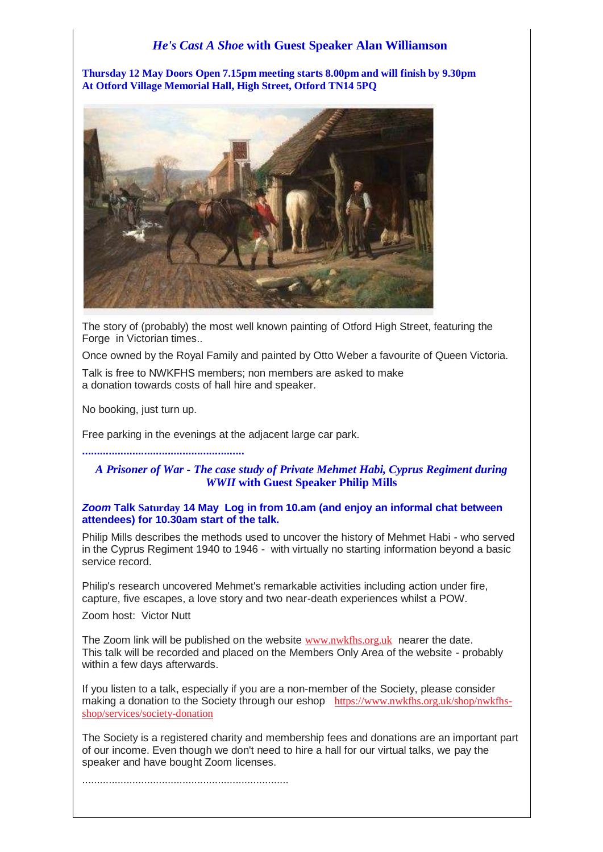# *He's Cast A Shoe* **with Guest Speaker Alan Williamson**

**Thursday 12 May Doors Open 7.15pm meeting starts 8.00pm and will finish by 9.30pm At Otford Village Memorial Hall, High Street, Otford TN14 5PQ**



The story of (probably) the most well known painting of Otford High Street, featuring the Forge in Victorian times..

Once owned by the Royal Family and painted by Otto Weber a favourite of Queen Victoria.

Talk is free to NWKFHS members; non members are asked to make a donation towards costs of hall hire and speaker.

No booking, just turn up.

Free parking in the evenings at the adjacent large car park.

#### **.......................................................**

# *A Prisoner of War - The case study of Private Mehmet Habi, Cyprus Regiment during WWII* **with Guest Speaker Philip Mills**

#### *Zoom* **Talk Saturday 14 May Log in from 10.am (and enjoy an informal chat between attendees) for 10.30am start of the talk.**

Philip Mills describes the methods used to uncover the history of Mehmet Habi - who served in the Cyprus Regiment 1940 to 1946 - with virtually no starting information beyond a basic service record.

Philip's research uncovered Mehmet's remarkable activities including action under fire, capture, five escapes, a love story and two near-death experiences whilst a POW.

Zoom host: Victor Nutt

The Zoom link will be published on the website [www.nwkfhs.org.uk](https://nwkfhs.us4.list-manage.com/track/click?u=cde10858510442d6e71f0f3a6&id=8c008bd6b0&e=a709ee61ff) nearer the date. This talk will be recorded and placed on the Members Only Area of the website - probably within a few days afterwards.

If you listen to a talk, especially if you are a non-member of the Society, please consider making a donation to the Society through our eshop [https://www.nwkfhs.org.uk/shop/nwkfhs](https://nwkfhs.us4.list-manage.com/track/click?u=cde10858510442d6e71f0f3a6&id=045fbe4fbf&e=a709ee61ff)[shop/services/society-donation](https://nwkfhs.us4.list-manage.com/track/click?u=cde10858510442d6e71f0f3a6&id=045fbe4fbf&e=a709ee61ff)

The Society is a registered charity and membership fees and donations are an important part of our income. Even though we don't need to hire a hall for our virtual talks, we pay the speaker and have bought Zoom licenses.

......................................................................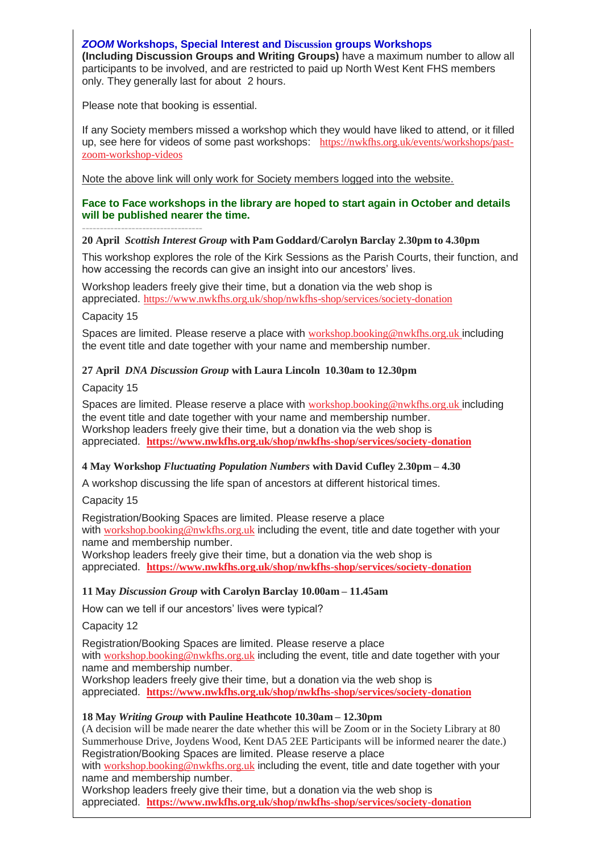#### *ZOOM* **Workshops, Special Interest and Discussion groups Workshops**

**(Including Discussion Groups and Writing Groups)** have a maximum number to allow all participants to be involved, and are restricted to paid up North West Kent FHS members only. They generally last for about 2 hours.

Please note that booking is essential.

If any Society members missed a workshop which they would have liked to attend, or it filled up, see here for videos of some past workshops: [https://nwkfhs.org.uk/events/workshops/past](https://nwkfhs.us4.list-manage.com/track/click?u=cde10858510442d6e71f0f3a6&id=95adaac569&e=a709ee61ff)[zoom-workshop-videos](https://nwkfhs.us4.list-manage.com/track/click?u=cde10858510442d6e71f0f3a6&id=95adaac569&e=a709ee61ff)

Note the above link will only work for Society members logged into the website.

#### **Face to Face workshops in the library are hoped to start again in October and details will be published nearer the time.**

#### **---------------------------------- 20 April** *Scottish Interest Group* **with Pam Goddard/Carolyn Barclay 2.30pm to 4.30pm**

This workshop explores the role of the Kirk Sessions as the Parish Courts, their function, and how accessing the records can give an insight into our ancestors' lives.

Workshop leaders freely give their time, but a donation via the web shop is appreciated. [https://www.nwkfhs.org.uk/shop/nwkfhs-shop/services/society-donation](https://nwkfhs.us4.list-manage.com/track/click?u=cde10858510442d6e71f0f3a6&id=8486626748&e=a709ee61ff)

Capacity 15

Spaces are limited. Please reserve a place with [workshop.booking@nwkfhs.org.uk](mailto:workshop.booking@nwkfhs.org.uk?subject=20%20April%20Scottish%20Interest%20group) including the event title and date together with your name and membership number.

# **27 April** *DNA Discussion Group* **with Laura Lincoln 10.30am to 12.30pm**

Capacity 15

Spaces are limited. Please reserve a place with [workshop.booking@nwkfhs.org.uk](mailto:workshop.booking@nwkfhs.org.uk?subject=27%20April%20DNA%20Discussion) including the event title and date together with your name and membership number. Workshop leaders freely give their time, but a donation via the web shop is appreciated. **[https://www.nwkfhs.org.uk/shop/nwkfhs-shop/services/society-donation](https://nwkfhs.us4.list-manage.com/track/click?u=cde10858510442d6e71f0f3a6&id=043c76f7b6&e=a709ee61ff)**

# **4 May Workshop** *Fluctuating Population Numbers* **with David Cufley 2.30pm – 4.30**

A workshop discussing the life span of ancestors at different historical times.

Capacity 15

Registration/Booking Spaces are limited. Please reserve a place with [workshop.booking@nwkfhs.org.uk](mailto:workshop.booking@nwkfhs.org.uk?subject=Fluctuating%20Population%20Numbers%204%20May) including the event, title and date together with your name and membership number.

Workshop leaders freely give their time, but a donation via the web shop is appreciated. **[https://www.nwkfhs.org.uk/shop/nwkfhs-shop/services/society-donation](https://nwkfhs.us4.list-manage.com/track/click?u=cde10858510442d6e71f0f3a6&id=29864f3b01&e=a709ee61ff)**

# **11 May** *Discussion Group* **with Carolyn Barclay 10.00am – 11.45am**

How can we tell if our ancestors' lives were typical?

Capacity 12

Registration/Booking Spaces are limited. Please reserve a place with [workshop.booking@nwkfhs.org.uk](mailto:workshop.booking@nwkfhs.org.uk?subject=Zoom%20Discussion%20Group%2011%20May) including the event, title and date together with your name and membership number.

Workshop leaders freely give their time, but a donation via the web shop is appreciated. **[https://www.nwkfhs.org.uk/shop/nwkfhs-shop/services/society-donation](https://nwkfhs.us4.list-manage.com/track/click?u=cde10858510442d6e71f0f3a6&id=1ba67ac2bd&e=a709ee61ff)**

# **18 May** *Writing Group* **with Pauline Heathcote 10.30am – 12.30pm**

(A decision will be made nearer the date whether this will be Zoom or in the Society Library at 80 Summerhouse Drive, Joydens Wood, Kent DA5 2EE Participants will be informed nearer the date.) Registration/Booking Spaces are limited. Please reserve a place

with [workshop.booking@nwkfhs.org.uk](mailto:workshop.booking@nwkfhs.org.uk?subject=18%20May%20Writing%20Group) including the event, title and date together with your name and membership number.

Workshop leaders freely give their time, but a donation via the web shop is appreciated. **[https://www.nwkfhs.org.uk/shop/nwkfhs-shop/services/society-donation](https://nwkfhs.us4.list-manage.com/track/click?u=cde10858510442d6e71f0f3a6&id=0f71bf895d&e=a709ee61ff)**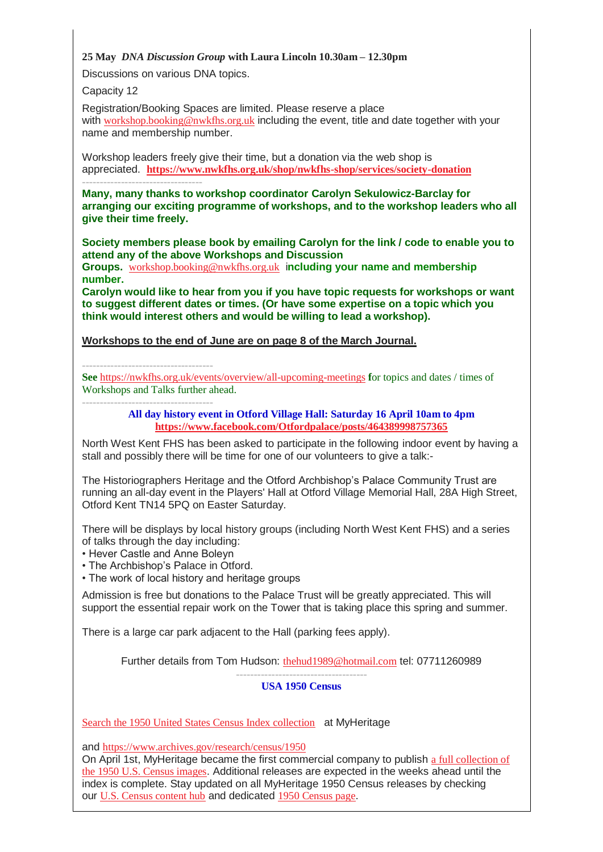#### **25 May** *DNA Discussion Group* **with Laura Lincoln 10.30am – 12.30pm**

Discussions on various DNA topics.

Capacity 12

Registration/Booking Spaces are limited. Please reserve a place with [workshop.booking@nwkfhs.org.uk](mailto:workshop.booking@nwkfhs.org.uk?subject=25%20May%20Zoom%20DNA%20Discussion%20Group) including the event, title and date together with your name and membership number.

Workshop leaders freely give their time, but a donation via the web shop is appreciated. **[https://www.nwkfhs.org.uk/shop/nwkfhs-shop/services/society-donation](https://nwkfhs.us4.list-manage.com/track/click?u=cde10858510442d6e71f0f3a6&id=51f9d06559&e=a709ee61ff) ----------------------------------**

**Many, many thanks to workshop coordinator Carolyn Sekulowicz-Barclay for arranging our exciting programme of workshops, and to the workshop leaders who all give their time freely.**

**Society members please book by emailing Carolyn for the link / code to enable you to attend any of the above Workshops and Discussion** 

**Groups.** [workshop.booking@nwkfhs.org.uk](mailto:workshop.booking@nwkfhs.org.uk?subject=NWKFHS%20Workshops) i**ncluding your name and membership number.**

**Carolyn would like to hear from you if you have topic requests for workshops or want to suggest different dates or times. (Or have some expertise on a topic which you think would interest others and would be willing to lead a workshop).**

**Workshops to the end of June are on page 8 of the March Journal.**

**-------------------------------------**

**See** [https://nwkfhs.org.uk/events/overview/all-upcoming-meetings](https://nwkfhs.us4.list-manage.com/track/click?u=cde10858510442d6e71f0f3a6&id=ee5fa39803&e=a709ee61ff) **f**or topics and dates / times of Workshops and Talks further ahead.

**-------------------------------------**

**All day history event in Otford Village Hall: Saturday 16 April 10am to 4pm [https://www.facebook.com/Otfordpalace/posts/464389998757365](https://nwkfhs.us4.list-manage.com/track/click?u=cde10858510442d6e71f0f3a6&id=6defbc721b&e=a709ee61ff)**

North West Kent FHS has been asked to participate in the following indoor event by having a stall and possibly there will be time for one of our volunteers to give a talk:-

The Historiographers Heritage and the Otford Archbishop's Palace Community Trust are running an all-day event in the Players' Hall at Otford Village Memorial Hall, 28A High Street, Otford Kent TN14 5PQ on Easter Saturday.

There will be displays by local history groups (including North West Kent FHS) and a series of talks through the day including:

- Hever Castle and Anne Boleyn
- The Archbishop's Palace in Otford.
- The work of local history and heritage groups

Admission is free but donations to the Palace Trust will be greatly appreciated. This will support the essential repair work on the Tower that is taking place this spring and summer.

There is a large car park adjacent to the Hall (parking fees apply).

Further details from Tom Hudson: [thehud1989@hotmail.com](mailto:thehud1989@hotmail.com?subject=Otford%20History%20Event%20on%20Saturday%2016%20April) tel: 07711260989

#### **------------------------------------- USA 1950 Census**

[Search the 1950 United States Census Index collection](https://nwkfhs.us4.list-manage.com/track/click?u=cde10858510442d6e71f0f3a6&id=1e3b87aae0&e=a709ee61ff) at MyHeritage

and [https://www.archives.gov/research/census/1950](https://nwkfhs.us4.list-manage.com/track/click?u=cde10858510442d6e71f0f3a6&id=95ae6d5fa2&e=a709ee61ff)

On April 1st, MyHeritage became the first commercial company to publish [a full collection of](https://nwkfhs.us4.list-manage.com/track/click?u=cde10858510442d6e71f0f3a6&id=919ca41b95&e=a709ee61ff)  [the 1950 U.S. Census images](https://nwkfhs.us4.list-manage.com/track/click?u=cde10858510442d6e71f0f3a6&id=919ca41b95&e=a709ee61ff). Additional releases are expected in the weeks ahead until the index is complete. Stay updated on all MyHeritage 1950 Census releases by checking our [U.S. Census content hub](https://nwkfhs.us4.list-manage.com/track/click?u=cde10858510442d6e71f0f3a6&id=58e748c82d&e=a709ee61ff) and dedicated [1950 Census page](https://nwkfhs.us4.list-manage.com/track/click?u=cde10858510442d6e71f0f3a6&id=a554bd1b4a&e=a709ee61ff).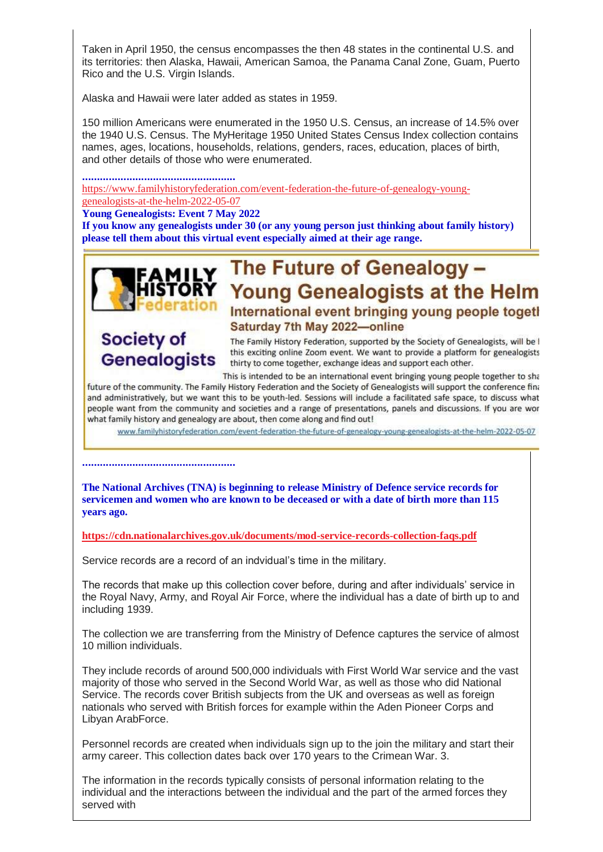Taken in April 1950, the census encompasses the then 48 states in the continental U.S. and its territories: then Alaska, Hawaii, American Samoa, the Panama Canal Zone, Guam, Puerto Rico and the U.S. Virgin Islands.

Alaska and Hawaii were later added as states in 1959.

150 million Americans were enumerated in the 1950 U.S. Census, an increase of 14.5% over the 1940 U.S. Census. The MyHeritage 1950 United States Census Index collection contains names, ages, locations, households, relations, genders, races, education, places of birth, and other details of those who were enumerated.

**....................................................**

[https://www.familyhistoryfederation.com/event-federation-the-future-of-genealogy-young](https://nwkfhs.us4.list-manage.com/track/click?u=cde10858510442d6e71f0f3a6&id=86dc69b036&e=a709ee61ff)[genealogists-at-the-helm-2022-05-07](https://nwkfhs.us4.list-manage.com/track/click?u=cde10858510442d6e71f0f3a6&id=86dc69b036&e=a709ee61ff)

**Young Genealogists: Event 7 May 2022**

**If you know any genealogists under 30 (or any young person just thinking about family history) please tell them about this virtual event especially aimed at their age range.**



# FAMILY The Future of Genealogy -**Young Genealogists at the Helm** International event bringing young people toget! Saturday 7th May 2022-online

# **Society of Genealogists**

The Family History Federation, supported by the Society of Genealogists, will be I this exciting online Zoom event. We want to provide a platform for genealogists thirty to come together, exchange ideas and support each other.

This is intended to be an international event bringing young people together to sha

future of the community. The Family History Federation and the Society of Genealogists will support the conference fina and administratively, but we want this to be youth-led. Sessions will include a facilitated safe space, to discuss what people want from the community and societies and a range of presentations, panels and discussions. If you are wor what family history and genealogy are about, then come along and find out!

www.familyhistoryfederation.com/event-federation-the-future-of-genealogy-young-genealogists-at-the-helm-2022-05-07

**....................................................**

**The National Archives (TNA) is beginning to release Ministry of Defence service records for servicemen and women who are known to be deceased or with a date of birth more than 115 years ago.**

**[https://cdn.nationalarchives.gov.uk/documents/mod-service-records-collection-faqs.pdf](https://nwkfhs.us4.list-manage.com/track/click?u=cde10858510442d6e71f0f3a6&id=6c3a05e18c&e=a709ee61ff)**

Service records are a record of an indvidual's time in the military.

The records that make up this collection cover before, during and after individuals' service in the Royal Navy, Army, and Royal Air Force, where the individual has a date of birth up to and including 1939.

The collection we are transferring from the Ministry of Defence captures the service of almost 10 million individuals.

They include records of around 500,000 individuals with First World War service and the vast majority of those who served in the Second World War, as well as those who did National Service. The records cover British subjects from the UK and overseas as well as foreign nationals who served with British forces for example within the Aden Pioneer Corps and Libyan ArabForce.

Personnel records are created when individuals sign up to the join the military and start their army career. This collection dates back over 170 years to the Crimean War. 3.

The information in the records typically consists of personal information relating to the individual and the interactions between the individual and the part of the armed forces they served with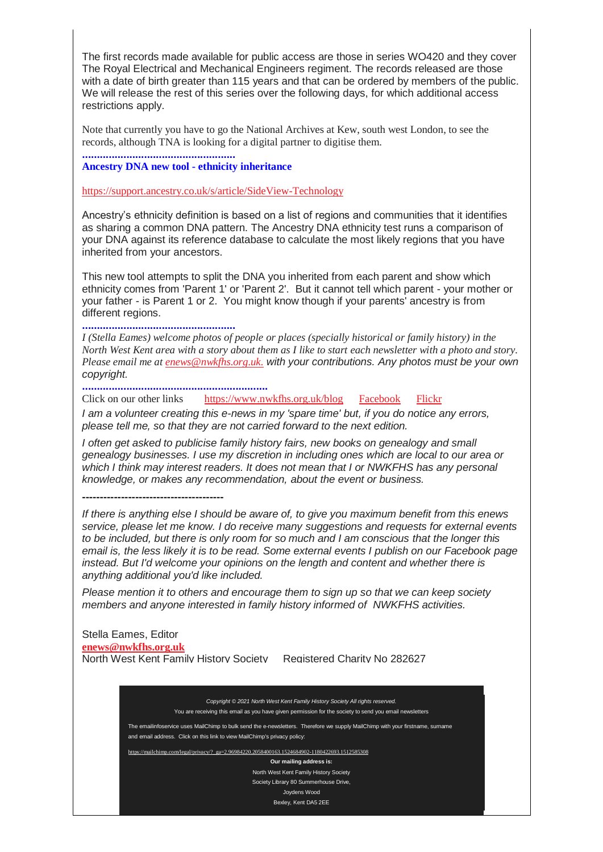The first records made available for public access are those in series WO420 and they cover The Royal Electrical and Mechanical Engineers regiment. The records released are those with a date of birth greater than 115 years and that can be ordered by members of the public. We will release the rest of this series over the following days, for which additional access restrictions apply.

Note that currently you have to go the National Archives at Kew, south west London, to see the records, although TNA is looking for a digital partner to digitise them.

**Ancestry DNA new tool - ethnicity inheritance**

**....................................................**

[https://support.ancestry.co.uk/s/article/SideView-Technology](https://nwkfhs.us4.list-manage.com/track/click?u=cde10858510442d6e71f0f3a6&id=c05e24f45f&e=a709ee61ff)

Ancestry's ethnicity definition is based on a list of regions and communities that it identifies as sharing a common DNA pattern. The Ancestry DNA ethnicity test runs a comparison of your DNA against its reference database to calculate the most likely regions that you have inherited from your ancestors.

This new tool attempts to split the DNA you inherited from each parent and show which ethnicity comes from 'Parent 1' or 'Parent 2'. But it cannot tell which parent - your mother or your father - is Parent 1 or 2. You might know though if your parents' ancestry is from different regions.

**....................................................**

*I (Stella Eames) welcome photos of people or places (specially historical or family history) in the North West Kent area with a story about them as I like to start each newsletter with a photo and story. Please email me at [enews@nwkfhs.org.uk.](mailto:enews@nwkfhs.org.uk) with your contributions. Any photos must be your own copyright.*

**...............................................................**

Click on our other links [https://www.nwkfhs.org.uk/blog](https://nwkfhs.us4.list-manage.com/track/click?u=cde10858510442d6e71f0f3a6&id=161fd6110d&e=a709ee61ff) [Facebook](https://nwkfhs.us4.list-manage.com/track/click?u=cde10858510442d6e71f0f3a6&id=251980e9b4&e=a709ee61ff) [Flickr](https://nwkfhs.us4.list-manage.com/track/click?u=cde10858510442d6e71f0f3a6&id=8aada8a1e5&e=a709ee61ff)

*I am a volunteer creating this e-news in my 'spare time' but, if you do notice any errors, please tell me, so that they are not carried forward to the next edition.*

*I* often get asked to publicise family history fairs, new books on genealogy and small *genealogy businesses. I use my discretion in including ones which are local to our area or which I think may interest readers. It does not mean that I or NWKFHS has any personal knowledge, or makes any recommendation, about the event or business.*

**----------------------------------------**

*If there is anything else I should be aware of, to give you maximum benefit from this enews service, please let me know. I do receive many suggestions and requests for external events to be included, but there is only room for so much and I am conscious that the longer this email is, the less likely it is to be read. Some external events I publish on our Facebook page instead. But I'd welcome your opinions on the length and content and whether there is anything additional you'd like included.*

*Please mention it to others and encourage them to sign up so that we can keep society members and anyone interested in family history informed of NWKFHS activities.*

Stella Eames, Editor **[enews@nwkfhs.org.uk](mailto:emailinfoservice@nwkfhs.org.uk)** North West Kent Family History Society Registered Charity No 282627

*Copyright © 2021 North West Kent Family History Society All rights reserved.* You are receiving this email as you have given permission for the society to send you email newsletters

The emailinfoservice uses MailChimp to bulk send the e-newsletters. Therefore we supply MailChimp with your firstname, surname and email address. Click on this link to view MailChimp's privacy policy:

ilchimp.com/legal/privacy/?\_ga=2.96984220.2058400163.1524684902-1180422693.1512585308

**Our mailing address is:**

North West Kent Family History Society Society Library 80 Summerhouse Drive,

Joydens Wood

Bexley, Kent DA5 2EE